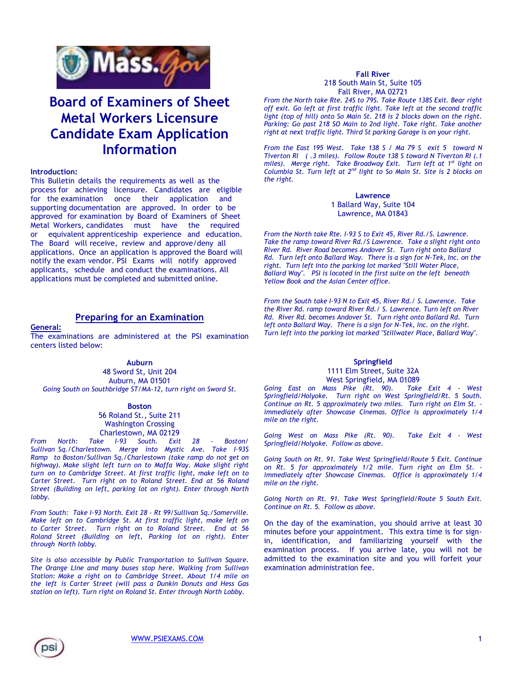

# **Board of Examiners of Sheet Metal Workers Licensure Candidate Exam Application Information**

#### **Introduction:**

This Bulletin details the requirements as well as the process for achieving licensure. Candidates are eligible for the examination once their application and supporting documentation are approved. In order to be approved for examination by Board of Examiners of Sheet Metal Workers, candidates must have the required or equivalent apprenticeship experience and education. The Board will receive, review and approve/deny all applications. Once an application is approved the Board will notify the exam vendor. PSI Exams will notify approved applicants, schedule and conduct the examinations. All applications must be completed and submitted online.

## **Preparing for an Examination**

#### **General:**

The examinati[ons are administered at the P](http://www.mass.gov/dpl/boards/sm)SI examination centers listed below:

#### **Auburn**

48 Sword St, Unit 204 Auburn, MA 01501 *Going South on Southbridge ST/MA-12, turn right on Sword St.*

#### **Boston**

56 Roland St., Suite 211 Washington Crossing Charlestown, MA 02129

*From North: Take I-93 South. Exit 28 – Boston/ Sullivan Sq./Charlestown. Merge into Mystic Ave. Take I-93S Ramp to Boston/Sullivan Sq./Charlestown (take ramp do not get on highway). Make slight left turn on to Maffa Way. Make slight right turn on to Cambridge Street. At first traffic light, make left on to Carter Street. Turn right on to Roland Street. End at 56 Roland Street (Building on left, parking lot on right). Enter through North lobby.* 

*From South: Take I-93 North. Exit 28 - Rt 99/Sullivan Sq./Somerville. Make left on to Cambridge St. At first traffic light, make left on to Carter Street. Turn right on to Roland Street. End at 56 Roland Street (Building on left, Parking lot on right). Enter through North lobby.* 

*Site is also accessible by Public Transportation to Sullivan Square. The Orange Line and many buses stop here. Walking from Sullivan Station: Make a right on to Cambridge Street. About 1/4 mile on the left is Carter Street (will pass a Dunkin Donuts and Hess Gas station on left). Turn right on Roland St. Enter through North Lobby.* 

#### **Fall River**  218 South Main St, Suite 105 Fall River, MA 02721

*From the North take Rte. 24S to 79S. Take Route 138S Exit. Bear right off exit. Go left at first traffic light. Take left at the second traffic light (top of hill) onto So Main St. 218 is 2 blocks down on the right. Parking: Go past 218 SO Main to 2nd light. Take right. Take another right at next traffic light. Third St parking Garage is on your right.* 

*From the East 195 West. Take 138 S / Ma 79 S exit 5 toward N Tiverton RI ( .3 miles). Follow Route 138 S toward N Tiverton RI (.1 miles). Merge right. Take Broadway Exit. Turn left at 1st light on Columbia St. Turn left at 2nd light to So Main St. Site is 2 blocks on the right.* 

> **Lawrence**  1 Ballard Way, Suite 104 Lawrence, MA 01843

*From the North take Rte. I-93 S to Exit 45, River Rd./S. Lawrence. Take the ramp toward River Rd./S Lawrence. Take a slight right onto River Rd. River Road becomes Andover St. Turn right onto Ballard Rd. Turn left onto Ballard Way. There is a sign for N-Tek, Inc. on the right. Turn left into the parking lot marked "Still Water Place, Ballard Way". PSI is located in the first suite on the left beneath Yellow Book and the Asian Center office.* 

*From the South take I-93 N to Exit 45, River Rd./ S. Lawrence. Take the River Rd. ramp toward River Rd./ S. Lawrence. Turn left on River Rd. River Rd. becomes Andover St. Turn right onto Ballard Rd. Turn left onto Ballard Way. There is a sign for N-Tek, Inc. on the right. Turn left into the parking lot marked "Stillwater Place, Ballard Way".* 

#### **Springfield**

1111 Elm Street, Suite 32A West Springfield, MA 01089

*Going East on Mass Pike (Rt. 90). Take Exit 4 - West Springfield/Holyoke. Turn right on West Springfield/Rt. 5 South. Continue on Rt. 5 approximately two miles. Turn right on Elm St. immediately after Showcase Cinemas. Office is approximately 1/4 mile on the right.* 

*Going West on Mass Pike (Rt. 90). Take Exit 4 - West Springfield/Holyoke. Follow as above.* 

*Going South on Rt. 91. Take West Springfield/Route 5 Exit. Continue on Rt. 5 for approximately 1/2 mile. Turn right on Elm St. immediately after Showcase Cinemas. Office is approximately 1/4 mile on the right.* 

*Going North on Rt. 91. Take West Springfield/Route 5 South Exit. Continue on Rt. 5. Follow as above.* 

On the day of the examination, you should arrive at least 30 minutes before your appointment. This extra time is for signin, identification, and familiarizing yourself with the examination process. If you arrive late, you will not be admitted to the examination site and you will forfeit your examination administration fee.

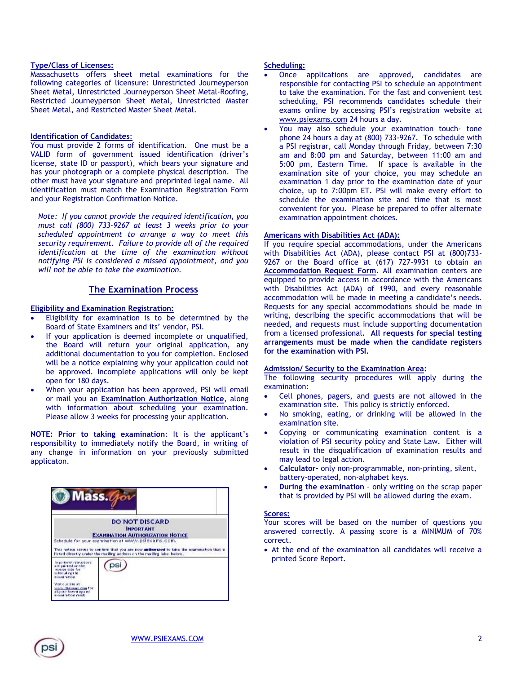# **Type/Class of Licenses:**

Massachusetts offers sheet metal examinations for the following categories of licensure: Unrestricted Journeyperson Sheet Metal, Unrestricted Journeyperson Sheet Metal-Roofing, Restricted Journeyperson Sheet Metal, Unrestricted Master Sheet Metal, and Restricted Master Sheet Metal.

## **Identification of Candidates**:

You must provide 2 forms of identification. One must be a VALID form of government issued identification (driver's license, state ID or passport), which bears your signature and has your photograph or a complete physical description. The other must have your signature and preprinted legal name. All identification must match the Examination Registration Form and your Registration Confirmation Notice.

*Note: If you cannot provide the required identification, you must call (800) 733-9267 at least 3 weeks prior to your scheduled appointment to arrange a way to meet this security requirement. Failure to provide all of the required identification at the time of the examination without notifying PSI is considered a missed appointment, and you will not be able to take the examination.*

# **The Examination Process**

### **Eligibility and Examination Registration:**

- Eligibility for examination is to be determined by the Board of State Examiners and its' vendor, PSI.
- If your application is deemed incomplete or unqualified, the Board will return your original application, any additional documentation to you for completion. Enclosed will be a notice explaining why your application could not be approved. Incomplete applications will only be kept open for 180 days.
- When your application has been approved, PSI will email or mail you an **Examination Authorization Notice**, along with information about scheduling your examination. Please allow 3 weeks for processing your application.

**NOTE: Prior to taking examination**: It is the applicant's responsibility to immediately notify the Board, in writing of any change in information on your previously submitted applicaton.



# **Scheduling:**

- Once applications are approved, candidates are responsible for contacting PSI to schedule an appointment to take the examination. For the fast and convenient test scheduling, PSI recommends candidates schedule their exams online by accessing PSI's registration website at [www.psiexams.com](http://www.psiexams.com/) 24 hours a day.
- You may also schedule your examination touch- tone phone 24 hours a day at (800) 733-9267. To schedule with a PSI registrar, call Monday through Friday, between 7:30 am and 8:00 pm and Saturday, between 11:00 am and 5:00 pm, Eastern Time. If space is available in the examination site of your choice, you may schedule an examination 1 day prior to the examination date of your choice, up to 7:00pm ET. PSI will make every effort to schedule the examination site and time that is most convenient for you. Please be prepared to offer alternate examination appointment choices.

#### **Americans with Disabilities Act (ADA):**

If you require special accommodations, under the Americans with Disabilities Act (ADA), please contact PSI at (800)733- 9267 or the Board office at (617) 727-9931 to obtain an **Accommodation Request Form**. All examination centers are equipped to provide access in accordance with the Americans with Disabilities Act (ADA) of 1990, and every reasonable accommodation will be made in meeting a candidate's needs. Requests for any special accommodations should be made in writing, describing the specific accommodations that will be needed, and requests must include supporting documentation from a licensed professional**. All requests for special testing arrangements must be made when the candidate registers for the examination with PSI.**

#### **Admission/ Security to the Examination Area:**

The following security procedures will apply during the examination:

- Cell phones, pagers, and guests are not allowed in the examination site. This policy is strictly enforced.
- No smoking, eating, or drinking will be allowed in the examination site.
- Copying or communicating examination content is a violation of PSI security policy and State Law. Either will result in the disqualification of examination results and may lead to legal action.
- **Calculator-** only non-programmable, non-printing, silent, battery-operated, non-alphabet keys.
- **During the examination** only writing on the scrap paper that is provided by PSI will be allowed during the exam.

#### **Scores:**

Your scores will be based on the number of questions you answered correctly. A passing score is a MINIMUM of 70% correct.

 At the end of the examination all candidates will receive a printed Score Report.

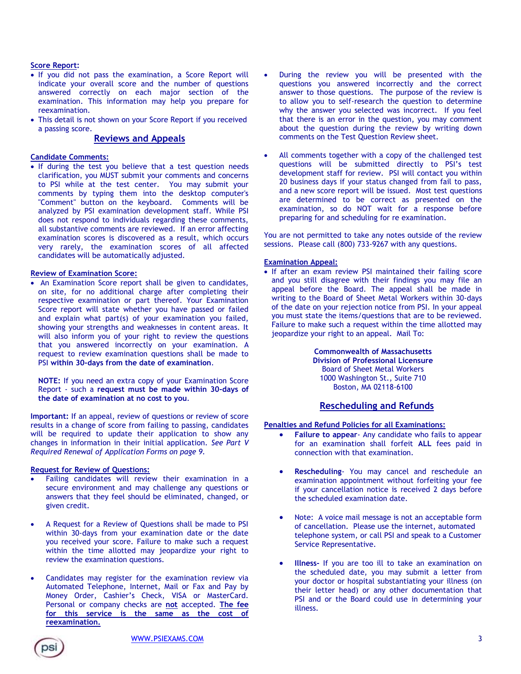# **Score Report:**

- If you did not pass the examination, a Score Report will indicate your overall score and the number of questions answered correctly on each major section of the examination. This information may help you prepare for reexamination.
- This detail is not shown on your Score Report if you received a passing score.

# **Reviews and Appeals**

# **Candidate Comments:**

• If during the test you believe that a test question needs clarification, you MUST submit your comments and concerns to PSI while at the test center. You may submit your comments by typing them into the desktop computer's "Comment" button on the keyboard. Comments will be analyzed by PSI examination development staff. While PSI does not respond to individuals regarding these comments, all substantive comments are reviewed. If an error affecting examination scores is discovered as a result, which occurs very rarely, the examination scores of all affected candidates will be automatically adjusted.

# **Review of Examination Score:**

• An Examination Score report shall be given to candidates, on site, for no additional charge after completing their respective examination or part thereof. Your Examination Score report will state whether you have passed or failed and explain what part(s) of your examination you failed, showing your strengths and weaknesses in content areas. It will also inform you of your right to review the questions that you answered incorrectly on your examination. A request to review examination questions shall be made to PSI **within 30-days from the date of examination**.

**NOTE:** If you need an extra copy of your Examination Score Report - such a **request must be made within 30-days of the date of examination at no cost to you**.

**Important:** If an appeal, review of questions or review of score results in a change of score from failing to passing, candidates will be required to update their application to show any changes in information in their initial application. *See Part V Required Renewal of Application Forms on page 9.*

#### **Request for Review of Questions:**

- Failing candidates will review their examination in a secure environment and may challenge any questions or answers that they feel should be eliminated, changed, or given credit.
- A Request for a Review of Questions shall be made to PSI within 30-days from your examination date or the date you received your score. Failure to make such a request within the time allotted may jeopardize your right to review the examination questions.
- Candidates may register for the examination review via Automated Telephone, Internet, Mail or Fax and Pay by Money Order, Cashier's Check, VISA or MasterCard. Personal or company checks are **not** accepted. **The fee for this service is the same as the cost of reexamination.**
- During the review you will be presented with the questions you answered incorrectly and the correct answer to those questions. The purpose of the review is to allow you to self-research the question to determine why the answer you selected was incorrect. If you feel that there is an error in the question, you may comment about the question during the review by writing down comments on the Test Question Review sheet.
- All comments together with a copy of the challenged test questions will be submitted directly to PSI's test development staff for review. PSI will contact you within 20 business days if your status changed from fail to pass, and a new score report will be issued. Most test questions are determined to be correct as presented on the examination, so do NOT wait for a response before preparing for and scheduling for re examination.

You are not permitted to take any notes outside of the review sessions. Please call (800) 733-9267 with any questions.

## **Examination Appeal:**

• If after an exam review PSI maintained their failing score and you still disagree with their findings you may file an appeal before the Board. The appeal shall be made in writing to the Board of Sheet Metal Workers within 30-days of the date on your rejection notice from PSI. In your appeal you must state the items/questions that are to be reviewed. Failure to make such a request within the time allotted may jeopardize your right to an appeal. Mail To:

> **Commonwealth of Massachusetts Division of Professional Licensure** Board of Sheet Metal Workers 1000 Washington St., Suite 710 Boston, MA 02118-6100

# **Rescheduling and Refunds**

## **Penalties and Refund Policies for all Examinations:**

- **Failure to appear** Any candidate who fails to appear for an examination shall forfeit **ALL** fees paid in connection with that examination.
- **Rescheduling** You may cancel and reschedule an examination appointment without forfeiting your fee if your cancellation notice is received 2 days before the scheduled examination date.
- Note: A voice mail message is not an acceptable form of cancellation. Please use the internet, automated telephone system, or call PSI and speak to a Customer Service Representative.
- **Illness-** If you are too ill to take an examination on the scheduled date, you may submit a letter from your doctor or hospital substantiating your illness (on their letter head) or any other documentation that PSI and or the Board could use in determining your illness.

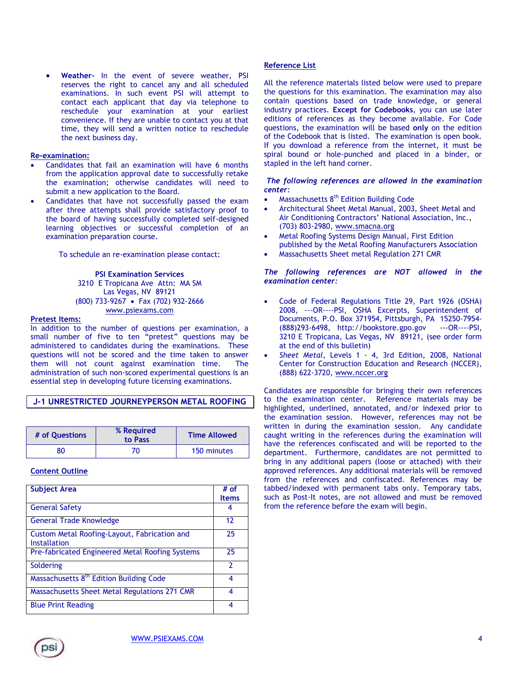**Weather-** In the event of severe weather, PSI reserves the right to cancel any and all scheduled examinations. In such event PSI will attempt to contact each applicant that day via telephone to reschedule your examination at your earliest convenience. If they are unable to contact you at that time, they will send a written notice to reschedule the next business day.

# **Re-examination:**

- Candidates that fail an examination will have 6 months from the application approval date to successfully retake the examination; otherwise candidates will need to submit a new application to the Board.
- Candidates that have not successfully passed the exam after three attempts shall provide satisfactory proof to the board of having successfully completed self-designed learning objectives or successful completion of an examination preparation course.

To schedule an re-examination please contact:

# **PSI Examination Services** 3210 E Tropicana Ave Attn: MA SM Las Vegas, NV 89121 (800) 733-9267 Fax (702) 932-2666 [www.psiexams.com](http://www.psiexams.com/)

#### **Pretest Items:**

In addition to the number of questions per examination, a small number of five to ten "pretest" questions may be administered to candidates during the examinations. These questions will not be scored and the time taken to answer them will not count against examination time. The administration of such non-scored experimental questions is an essential step in developing future licensing examinations.

# **J-1 UNRESTRICTED JOURNEYPERSON METAL ROOFING**

| # of Ouestions | % Required<br>to Pass | <b>Time Allowed</b> |
|----------------|-----------------------|---------------------|
| 80             | 70                    | 150 minutes         |

# **Content Outline**

| <b>Subject Area</b>                                          | # of          |
|--------------------------------------------------------------|---------------|
|                                                              | <b>Items</b>  |
| <b>General Safety</b>                                        | 4             |
| <b>General Trade Knowledge</b>                               | 12            |
| Custom Metal Roofing-Layout, Fabrication and<br>Installation | 25            |
| <b>Pre-fabricated Engineered Metal Roofing Systems</b>       | 25            |
| Soldering                                                    | $\mathcal{P}$ |
| Massachusetts 8 <sup>th</sup> Edition Building Code          | 4             |
| <b>Massachusetts Sheet Metal Regulations 271 CMR</b>         |               |
| <b>Blue Print Reading</b>                                    |               |

# **Reference List**

All the reference materials listed below were used to prepare the questions for this examination. The examination may also contain questions based on trade knowledge, or general industry practices. **Except for Codebooks**, you can use later editions of references as they become available. For Code questions, the examination will be based **only** on the edition of the Codebook that is listed. The examination is open book. If you download a reference from the internet, it must be spiral bound or hole-punched and placed in a binder, or stapled in the left hand corner.

## *The following references are allowed in the examination center:*

- Massachusetts 8<sup>th</sup> Edition Building Code
- Architectural Sheet Metal Manual, 2003, Sheet Metal and Air Conditioning Contractors' National Association, Inc., (703) 803-2980, [www.smacna.org](http://www.smacna.org/)
- Metal Roofing Systems Design Manual, First Edition published by the Metal Roofing Manufacturers Association
- Massachusetts Sheet metal Regulation 271 CMR

## *The following references are NOT allowed in the examination center:*

- Code of Federal Regulations Title 29, Part 1926 (OSHA) 2008, ---OR----PSI, OSHA Excerpts, Superintendent of Documents, P.O. Box 371954, Pittsburgh, PA 15250-7954- (888)293-6498, http://bookstore.gpo.gov ---OR----PSI, 3210 E Tropicana, Las Vegas, NV 89121, (see order form at the end of this bulletin)
- *Sheet Metal*, Levels 1 4, 3rd Edition, 2008, National Center for Construction Education and Research (NCCER), (888) 622-3720, [www.nccer.org](http://www.nccer.org/)

Candidates are responsible for bringing their own references to the examination center. Reference materials may be highlighted, underlined, annotated, and/or indexed prior to the examination session. However, references may not be written in during the examination session. Any candidate caught writing in the references during the examination will have the references confiscated and will be reported to the department. Furthermore, candidates are not permitted to bring in any additional papers (loose or attached) with their approved references. Any additional materials will be removed from the references and confiscated. References may be tabbed/indexed with permanent tabs only. Temporary tabs, such as Post-It notes, are not allowed and must be removed from the reference before the exam will begin.

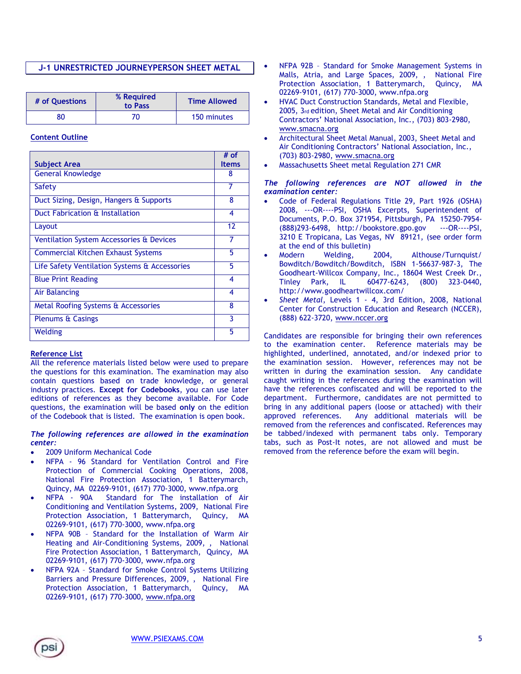# **J-1 UNRESTRICTED JOURNEYPERSON SHEET METAL**

| # of Ouestions | % Required<br>to Pass | <b>Time Allowed</b> |
|----------------|-----------------------|---------------------|
| 80             |                       | 150 minutes         |

# **Content Outline**

| <b>Subject Area</b>                                 | # of<br><b>Items</b> |
|-----------------------------------------------------|----------------------|
| <b>General Knowledge</b>                            | 8                    |
| Safety                                              | 7                    |
| Duct Sizing, Design, Hangers & Supports             | 8                    |
| Duct Fabrication & Installation                     | 4                    |
| Layout                                              | 12                   |
| <b>Ventilation System Accessories &amp; Devices</b> | 7                    |
| <b>Commercial Kitchen Exhaust Systems</b>           | 5                    |
| Life Safety Ventilation Systems & Accessories       | 5                    |
| <b>Blue Print Reading</b>                           | 4                    |
| Air Balancing                                       | 4                    |
| Metal Roofing Systems & Accessories                 | 8                    |
| Plenums & Casings                                   | 3                    |
| Welding                                             | 5                    |

## **Reference List**

All the reference materials listed below were used to prepare the questions for this examination. The examination may also contain questions based on trade knowledge, or general industry practices. **Except for Codebooks**, you can use later editions of references as they become available. For Code questions, the examination will be based **only** on the edition of the Codebook that is listed. The examination is open book.

#### *The following references are allowed in the examination center:*

- 2009 Uniform Mechanical Code
- NFPA 96 Standard for Ventilation Control and Fire Protection of Commercial Cooking Operations, 2008, National Fire Protection Association, 1 Batterymarch, Quincy, MA 02269-9101, (617) 770-3000, www.nfpa.org
- NFPA 90A Standard for The installation of Air Conditioning and Ventilation Systems, 2009, National Fire Protection Association, 1 Batterymarch, Quincy, MA 02269-9101, (617) 770-3000, www.nfpa.org
- NFPA 90B Standard for the Installation of Warm Air Heating and Air-Conditioning Systems, 2009, , National Fire Protection Association, 1 Batterymarch, Quincy, MA 02269-9101, (617) 770-3000, www.nfpa.org
- NFPA 92A Standard for Smoke Control Systems Utilizing Barriers and Pressure Differences, 2009, , National Fire Protection Association, 1 Batterymarch, Quincy, MA 02269-9101, (617) 770-3000, [www.nfpa.org](http://www.nfpa.org/)
- NFPA 92B Standard for Smoke Management Systems in Malls, Atria, and Large Spaces, 2009, , National Fire Protection Association, 1 Batterymarch, Quincy, MA 02269-9101, (617) 770-3000, www.nfpa.org
- HVAC Duct Construction Standards, Metal and Flexible, 2005, 3rd edition, Sheet Metal and Air Conditioning Contractors' National Association, Inc., (703) 803-2980, [www.smacna.org](http://www.smacna.org/)
- Architectural Sheet Metal Manual, 2003, Sheet Metal and Air Conditioning Contractors' National Association, Inc., (703) 803-2980, [www.smacna.org](http://www.smacna.org/)
- Massachusetts Sheet metal Regulation 271 CMR

#### *The following references are NOT allowed in the examination center:*

- Code of Federal Regulations Title 29, Part 1926 (OSHA) 2008, ---OR----PSI, OSHA Excerpts, Superintendent of Documents, P.O. Box 371954, Pittsburgh, PA 15250-7954- (888)293-6498, http://bookstore.gpo.gov ---OR----PSI, 3210 E Tropicana, Las Vegas, NV 89121, (see order form at the end of this bulletin)
- Modern Welding, 2004, Althouse/Turnquist/ Bowditch/Bowditch/Bowditch, ISBN 1-56637-987-3, The Goodheart-Willcox Company, Inc., 18604 West Creek Dr., Tinley Park, IL 60477-6243, (800) 323-0440, http://www.goodheartwillcox.com/
- *Sheet Metal*, Levels 1 4, 3rd Edition, 2008, National Center for Construction Education and Research (NCCER), (888) 622-3720, [www.nccer.org](http://www.nccer.org/)

Candidates are responsible for bringing their own references to the examination center. Reference materials may be highlighted, underlined, annotated, and/or indexed prior to the examination session. However, references may not be written in during the examination session. Any candidate caught writing in the references during the examination will have the references confiscated and will be reported to the department. Furthermore, candidates are not permitted to bring in any additional papers (loose or attached) with their approved references. Any additional materials will be removed from the references and confiscated. References may be tabbed/indexed with permanent tabs only. Temporary tabs, such as Post-It notes, are not allowed and must be removed from the reference before the exam will begin.

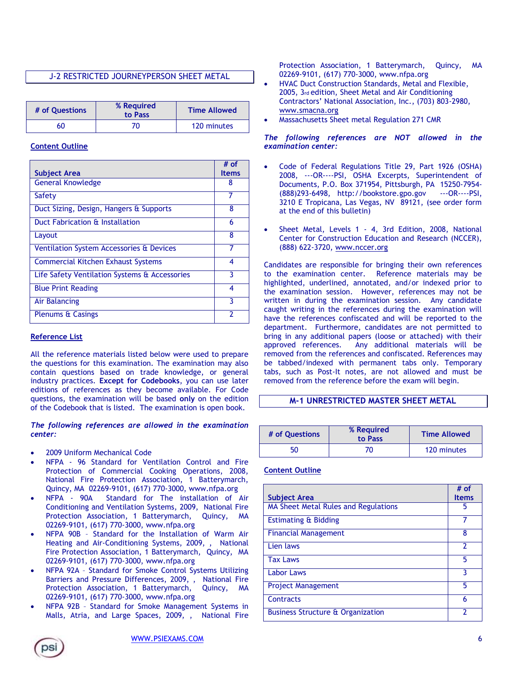# J-2 RESTRICTED JOURNEYPERSON SHEET METAL

| # of Ouestions | % Required<br>to Pass | <b>Time Allowed</b> |
|----------------|-----------------------|---------------------|
| 60             | 70                    | 120 minutes         |

# **Content Outline**

| <b>Subject Area</b>                                 | $#$ of<br><b>Items</b> |
|-----------------------------------------------------|------------------------|
| <b>General Knowledge</b>                            | 8                      |
| Safety                                              |                        |
| Duct Sizing, Design, Hangers & Supports             | 8                      |
| Duct Fabrication & Installation                     | 6                      |
| Layout                                              | 8                      |
| <b>Ventilation System Accessories &amp; Devices</b> |                        |
| <b>Commercial Kitchen Exhaust Systems</b>           | 4                      |
| Life Safety Ventilation Systems & Accessories       | 3                      |
| <b>Blue Print Reading</b>                           | 4                      |
| Air Balancing                                       | 3                      |
| <b>Plenums &amp; Casings</b>                        |                        |

# **Reference List**

All the reference materials listed below were used to prepare the questions for this examination. The examination may also contain questions based on trade knowledge, or general industry practices. **Except for Codebooks**, you can use later editions of references as they become available. For Code questions, the examination will be based **only** on the edition of the Codebook that is listed. The examination is open book.

# *The following references are allowed in the examination center:*

- 2009 Uniform Mechanical Code
- NFPA 96 Standard for Ventilation Control and Fire Protection of Commercial Cooking Operations, 2008, National Fire Protection Association, 1 Batterymarch, Quincy, MA 02269-9101, (617) 770-3000, www.nfpa.org
- NFPA 90A Standard for The installation of Air Conditioning and Ventilation Systems, 2009, National Fire Protection Association, 1 Batterymarch, Quincy, MA 02269-9101, (617) 770-3000, www.nfpa.org
- NFPA 90B Standard for the Installation of Warm Air Heating and Air-Conditioning Systems, 2009, , National Fire Protection Association, 1 Batterymarch, Quincy, MA 02269-9101, (617) 770-3000, www.nfpa.org
- NFPA 92A Standard for Smoke Control Systems Utilizing Barriers and Pressure Differences, 2009, , National Fire Protection Association, 1 Batterymarch, Quincy, MA 02269-9101, (617) 770-3000, www.nfpa.org
- NFPA 92B Standard for Smoke Management Systems in Malls, Atria, and Large Spaces, 2009, , National Fire

Protection Association, 1 Batterymarch, Quincy, MA 02269-9101, (617) 770-3000, www.nfpa.org

- HVAC Duct Construction Standards, Metal and Flexible, 2005, 3rd edition, Sheet Metal and Air Conditioning Contractors' National Association, Inc., (703) 803-2980, [www.smacna.org](http://www.smacna.org/)
- Massachusetts Sheet metal Regulation 271 CMR

### *The following references are NOT allowed in the examination center:*

- Code of Federal Regulations Title 29, Part 1926 (OSHA) 2008, ---OR----PSI, OSHA Excerpts, Superintendent of Documents, P.O. Box 371954, Pittsburgh, PA 15250-7954- (888)293-6498, http://bookstore.gpo.gov ---OR----PSI, 3210 E Tropicana, Las Vegas, NV 89121, (see order form at the end of this bulletin)
- Sheet Metal, Levels 1 4, 3rd Edition, 2008, National Center for Construction Education and Research (NCCER), (888) 622-3720, [www.nccer.org](http://www.nccer.org/)

Candidates are responsible for bringing their own references to the examination center. Reference materials may be highlighted, underlined, annotated, and/or indexed prior to the examination session. However, references may not be written in during the examination session. Any candidate caught writing in the references during the examination will have the references confiscated and will be reported to the department. Furthermore, candidates are not permitted to bring in any additional papers (loose or attached) with their approved references. Any additional materials will be removed from the references and confiscated. References may be tabbed/indexed with permanent tabs only. Temporary tabs, such as Post-It notes, are not allowed and must be removed from the reference before the exam will begin.

# **M-1 UNRESTRICTED MASTER SHEET METAL**

| # of Ouestions | % Required<br>to Pass | <b>Time Allowed</b> |
|----------------|-----------------------|---------------------|
| 50             | 70                    | 120 minutes         |

# **Content Outline**

| <b>Subject Area</b>                          | $#$ of<br><b>Items</b> |
|----------------------------------------------|------------------------|
| <b>MA Sheet Metal Rules and Regulations</b>  | 5                      |
| <b>Estimating &amp; Bidding</b>              |                        |
| <b>Financial Management</b>                  | 8                      |
| Lien laws                                    |                        |
| <b>Tax Laws</b>                              | 5                      |
| <b>Labor Laws</b>                            | ٦                      |
| <b>Project Management</b>                    | 5                      |
| Contracts                                    | 6                      |
| <b>Business Structure &amp; Organization</b> |                        |

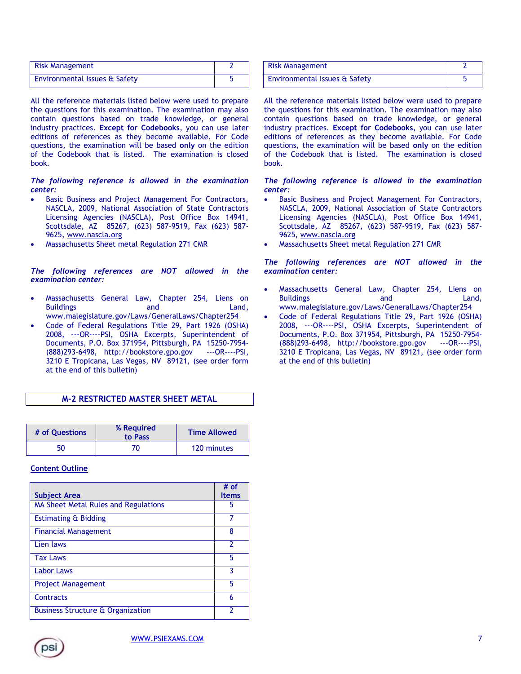| <b>Risk Management</b>        |  |
|-------------------------------|--|
| Environmental Issues & Safety |  |

All the reference materials listed below were used to prepare the questions for this examination. The examination may also contain questions based on trade knowledge, or general industry practices. **Except for Codebooks**, you can use later editions of references as they become available. For Code questions, the examination will be based **only** on the edition of the Codebook that is listed. The examination is closed book.

#### *The following reference is allowed in the examination center:*

- Basic Business and Project Management For Contractors, NASCLA, 2009, National Association of State Contractors Licensing Agencies (NASCLA), Post Office Box 14941, Scottsdale, AZ 85267, (623) 587-9519, Fax (623) 587- 9625, [www.nascla.org](http://www.nascla.org/)
- Massachusetts Sheet metal Regulation 271 CMR

## *The following references are NOT allowed in the examination center:*

- Massachusetts General Law, Chapter 254, Liens on Buildings and and Land, www.malegislature.gov/Laws/GeneralLaws/Chapter254
- Code of Federal Regulations Title 29, Part 1926 (OSHA) 2008, ---OR----PSI, OSHA Excerpts, Superintendent of Documents, P.O. Box 371954, Pittsburgh, PA 15250-7954- (888)293-6498, http://bookstore.gpo.gov ---OR----PSI, 3210 E Tropicana, Las Vegas, NV 89121, (see order form at the end of this bulletin)

# **M-2 RESTRICTED MASTER SHEET METAL**

| # of Ouestions | % Required<br>to Pass | <b>Time Allowed</b> |
|----------------|-----------------------|---------------------|
|                | 70                    | 120 minutes         |

## **Content Outline**

| <b>Subject Area</b>                          | # of<br><b>Items</b> |
|----------------------------------------------|----------------------|
| <b>MA Sheet Metal Rules and Regulations</b>  | 5                    |
| <b>Estimating &amp; Bidding</b>              |                      |
| <b>Financial Management</b>                  | 8                    |
| Lien laws                                    | 7                    |
| <b>Tax Laws</b>                              | 5                    |
| <b>Labor Laws</b>                            |                      |
| <b>Project Management</b>                    | 5                    |
| Contracts                                    | 6                    |
| <b>Business Structure &amp; Organization</b> |                      |

| <b>Risk Management</b>        |  |
|-------------------------------|--|
| Environmental Issues & Safety |  |

All the reference materials listed below were used to prepare the questions for this examination. The examination may also contain questions based on trade knowledge, or general industry practices. **Except for Codebooks**, you can use later editions of references as they become available. For Code questions, the examination will be based **only** on the edition of the Codebook that is listed. The examination is closed book.

#### *The following reference is allowed in the examination center:*

- Basic Business and Project Management For Contractors, NASCLA, 2009, National Association of State Contractors Licensing Agencies (NASCLA), Post Office Box 14941, Scottsdale, AZ 85267, (623) 587-9519, Fax (623) 587- 9625, [www.nascla.org](http://www.nascla.org/)
- Massachusetts Sheet metal Regulation 271 CMR

#### *The following references are NOT allowed in the examination center:*

- Massachusetts General Law, Chapter 254, Liens on Buildings and and Land, www.malegislature.gov/Laws/GeneralLaws/Chapter254
- Code of Federal Regulations Title 29, Part 1926 (OSHA) 2008, ---OR----PSI, OSHA Excerpts, Superintendent of Documents, P.O. Box 371954, Pittsburgh, PA 15250-7954- (888)293-6498, http://bookstore.gpo.gov ---OR----PSI, 3210 E Tropicana, Las Vegas, NV 89121, (see order form at the end of this bulletin)

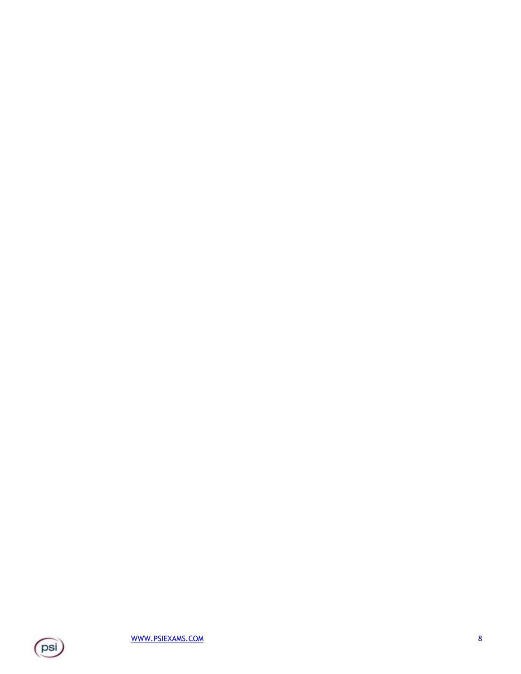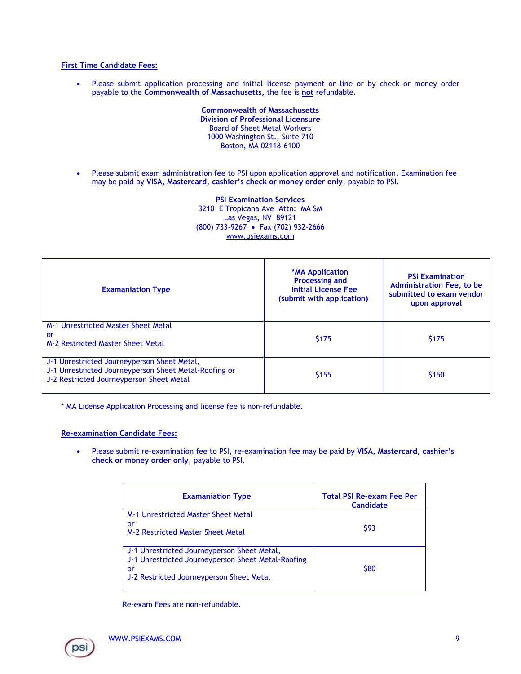# **First Time Candidate Fees:**

• Please submit application processing and initial license payment on-line or by check or money order payable to the **Commonwealth of Massachusetts,** the fee is **not** refundable.

> **Commonwealth of Massachusetts Division of Professional Licensure** Board of Sheet Metal Workers 1000 Washington St., Suite 710 Boston, MA 02118-6100

 Please submit exam administration fee to PSI upon application approval and notification**.** Examination fee may be paid by **VISA, Mastercard, cashier's check or money order only**, payable to PSI.

> **PSI Examination Services** 3210 E Tropicana Ave Attn: MA SM Las Vegas, NV 89121 (800) 733-9267 Fax (702) 932-2666 [www.psiexams.com](http://www.psiexams.com/)

| <b>Examaniation Type</b>                                                                                                                         | <b>*MA Application</b><br><b>Processing and</b><br><b>Initial License Fee</b><br>(submit with application) | <b>PSI Examination</b><br><b>Administration Fee, to be</b><br>submitted to exam vendor<br>upon approval |
|--------------------------------------------------------------------------------------------------------------------------------------------------|------------------------------------------------------------------------------------------------------------|---------------------------------------------------------------------------------------------------------|
| M-1 Unrestricted Master Sheet Metal<br>or<br>M-2 Restricted Master Sheet Metal                                                                   | <b>S175</b>                                                                                                | <b>S175</b>                                                                                             |
| J-1 Unrestricted Journeyperson Sheet Metal,<br>J-1 Unrestricted Journeyperson Sheet Metal-Roofing or<br>J-2 Restricted Journeyperson Sheet Metal | <b>S155</b>                                                                                                | <b>S150</b>                                                                                             |

\* MA License Application Processing and license fee is non-refundable.

## **Re-examination Candidate Fees:**

 Please submit re-examination fee to PSI, re-examination fee may be paid by **VISA, Mastercard, cashier's check or money order only**, payable to PSI.

| <b>Examaniation Type</b>                                                                                                                            | <b>Total PSI Re-exam Fee Per</b><br>Candidate |
|-----------------------------------------------------------------------------------------------------------------------------------------------------|-----------------------------------------------|
| M-1 Unrestricted Master Sheet Metal<br>or<br>M-2 Restricted Master Sheet Metal                                                                      | \$93                                          |
| J-1 Unrestricted Journeyperson Sheet Metal,<br>J-1 Unrestricted Journeyperson Sheet Metal-Roofing<br>or<br>J-2 Restricted Journeyperson Sheet Metal | \$80                                          |

Re-exam Fees are non-refundable.